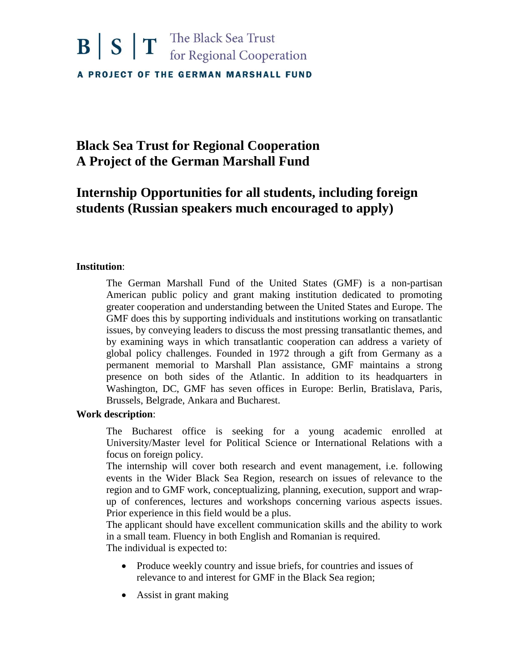# $\mathbf{B}$   $\mathbf{S}$   $\mathbf{T}$  The Black Sea Trust<br>for Regional Cooperation A PROJECT OF THE GERMAN MARSHALL FUND

## **Black Sea Trust for Regional Cooperation A Project of the German Marshall Fund**

### **Internship Opportunities for all students, including foreign students (Russian speakers much encouraged to apply)**

### **Institution**:

The German Marshall Fund of the United States (GMF) is a non-partisan American public policy and grant making institution dedicated to promoting greater cooperation and understanding between the United States and Europe. The GMF does this by supporting individuals and institutions working on transatlantic issues, by conveying leaders to discuss the most pressing transatlantic themes, and by examining ways in which transatlantic cooperation can address a variety of global policy challenges. Founded in 1972 through a gift from Germany as a permanent memorial to Marshall Plan assistance, GMF maintains a strong presence on both sides of the Atlantic. In addition to its headquarters in Washington, DC, GMF has seven offices in Europe: Berlin, Bratislava, Paris, Brussels, Belgrade, Ankara and Bucharest.

### **Work description**:

The Bucharest office is seeking for a young academic enrolled at University/Master level for Political Science or International Relations with a focus on foreign policy.

The internship will cover both research and event management, i.e. following events in the Wider Black Sea Region, research on issues of relevance to the region and to GMF work, conceptualizing, planning, execution, support and wrapup of conferences, lectures and workshops concerning various aspects issues. Prior experience in this field would be a plus.

The applicant should have excellent communication skills and the ability to work in a small team. Fluency in both English and Romanian is required. The individual is expected to:

- Produce weekly country and issue briefs, for countries and issues of relevance to and interest for GMF in the Black Sea region;
- Assist in grant making